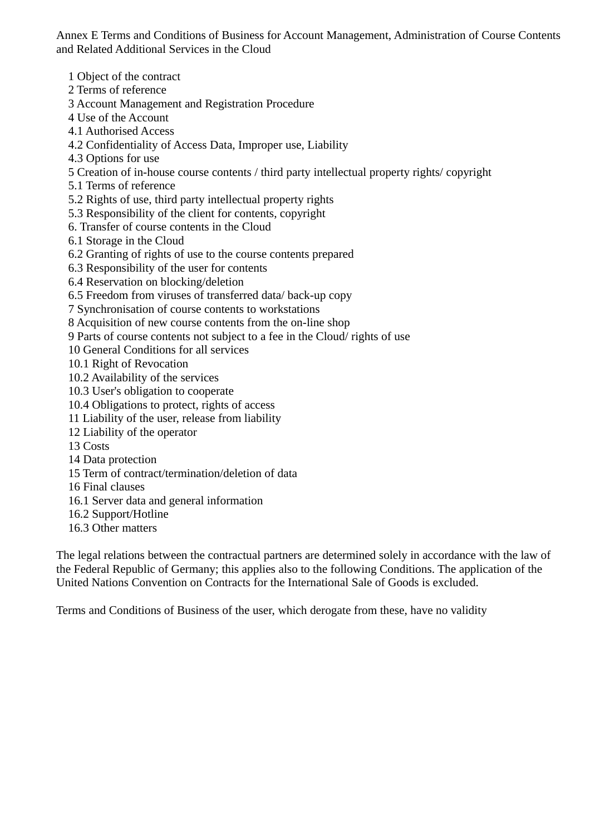Annex E Terms and Conditions of Business for Account Management, Administration of Course Contents and Related Additional Services in the Cloud

1 Object of the contract

2 Terms of reference

3 Account Management and Registration Procedure

4 Use of the Account

4.1 Authorised Access

4.2 Confidentiality of Access Data, Improper use, Liability

4.3 Options for use

5 Creation of in-house course contents / third party intellectual property rights/ copyright

5.1 Terms of reference

5.2 Rights of use, third party intellectual property rights

5.3 Responsibility of the client for contents, copyright

6. Transfer of course contents in the Cloud

6.1 Storage in the Cloud

6.2 Granting of rights of use to the course contents prepared

6.3 Responsibility of the user for contents

6.4 Reservation on blocking/deletion

6.5 Freedom from viruses of transferred data/ back-up copy

7 Synchronisation of course contents to workstations

8 Acquisition of new course contents from the on-line shop

9 Parts of course contents not subject to a fee in the Cloud/ rights of use

10 General Conditions for all services

10.1 Right of Revocation

10.2 Availability of the services

10.3 User's obligation to cooperate

10.4 Obligations to protect, rights of access

11 Liability of the user, release from liability

12 Liability of the operator

13 Costs

14 Data protection

15 Term of contract/termination/deletion of data

16 Final clauses

16.1 Server data and general information

16.2 Support/Hotline

16.3 Other matters

The legal relations between the contractual partners are determined solely in accordance with the law of the Federal Republic of Germany; this applies also to the following Conditions. The application of the United Nations Convention on Contracts for the International Sale of Goods is excluded.

Terms and Conditions of Business of the user, which derogate from these, have no validity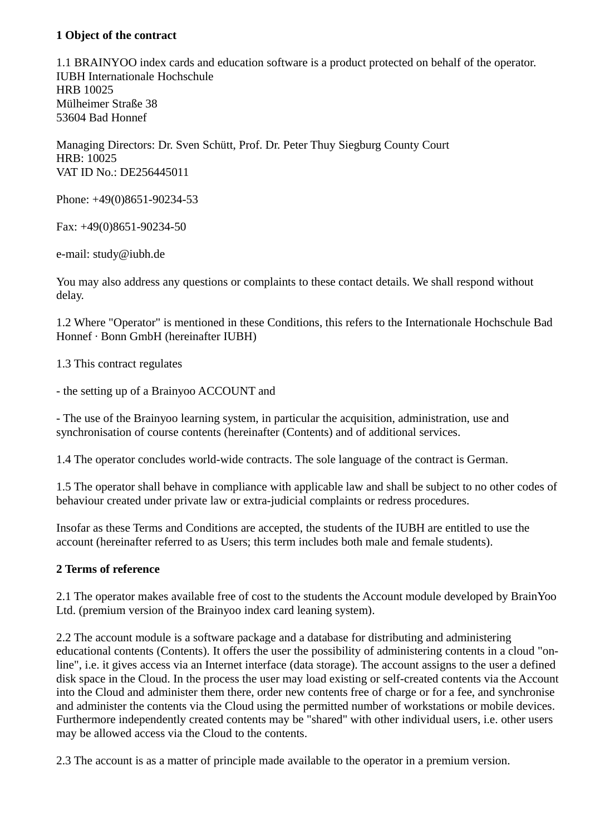### **1 Object of the contract**

1.1 BRAINYOO index cards and education software is a product protected on behalf of the operator. IUBH Internationale Hochschule HRB 10025 Mülheimer Straße 38 53604 Bad Honnef

Managing Directors: Dr. Sven Schütt, Prof. Dr. Peter Thuy Siegburg County Court HRB: 10025 VAT ID No.: DE256445011

Phone: +49(0)8651-90234-53

Fax: +49(0)8651-90234-50

e-mail: study@iubh.de

You may also address any questions or complaints to these contact details. We shall respond without delay.

1.2 Where "Operator" is mentioned in these Conditions, this refers to the Internationale Hochschule Bad Honnef · Bonn GmbH (hereinafter IUBH)

1.3 This contract regulates

- the setting up of a Brainyoo ACCOUNT and

- The use of the Brainyoo learning system, in particular the acquisition, administration, use and synchronisation of course contents (hereinafter (Contents) and of additional services.

1.4 The operator concludes world-wide contracts. The sole language of the contract is German.

1.5 The operator shall behave in compliance with applicable law and shall be subject to no other codes of behaviour created under private law or extra-judicial complaints or redress procedures.

Insofar as these Terms and Conditions are accepted, the students of the IUBH are entitled to use the account (hereinafter referred to as Users; this term includes both male and female students).

## **2 Terms of reference**

2.1 The operator makes available free of cost to the students the Account module developed by BrainYoo Ltd. (premium version of the Brainyoo index card leaning system).

2.2 The account module is a software package and a database for distributing and administering educational contents (Contents). It offers the user the possibility of administering contents in a cloud "online", i.e. it gives access via an Internet interface (data storage). The account assigns to the user a defined disk space in the Cloud. In the process the user may load existing or self-created contents via the Account into the Cloud and administer them there, order new contents free of charge or for a fee, and synchronise and administer the contents via the Cloud using the permitted number of workstations or mobile devices. Furthermore independently created contents may be "shared" with other individual users, i.e. other users may be allowed access via the Cloud to the contents.

2.3 The account is as a matter of principle made available to the operator in a premium version.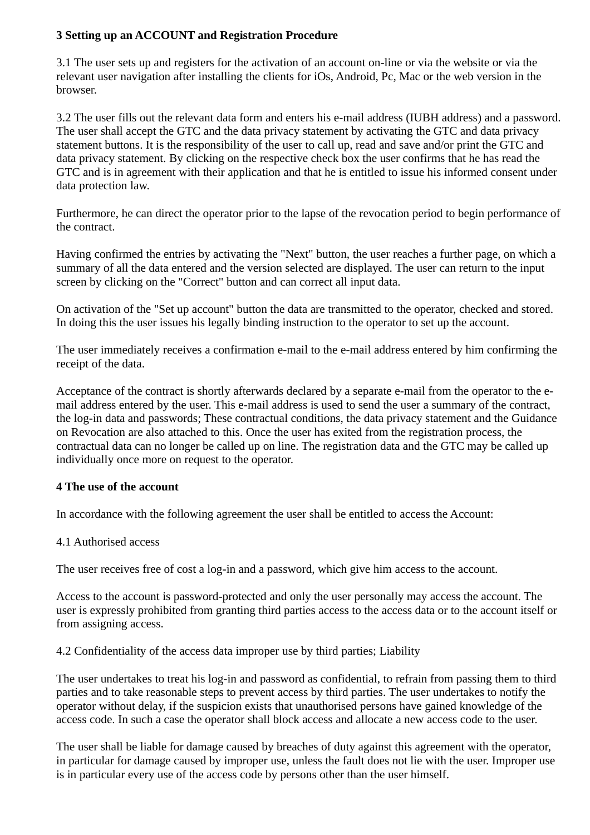### **3 Setting up an ACCOUNT and Registration Procedure**

3.1 The user sets up and registers for the activation of an account on-line or via the website or via the relevant user navigation after installing the clients for iOs, Android, Pc, Mac or the web version in the browser.

3.2 The user fills out the relevant data form and enters his e-mail address (IUBH address) and a password. The user shall accept the GTC and the data privacy statement by activating the GTC and data privacy statement buttons. It is the responsibility of the user to call up, read and save and/or print the GTC and data privacy statement. By clicking on the respective check box the user confirms that he has read the GTC and is in agreement with their application and that he is entitled to issue his informed consent under data protection law.

Furthermore, he can direct the operator prior to the lapse of the revocation period to begin performance of the contract.

Having confirmed the entries by activating the "Next" button, the user reaches a further page, on which a summary of all the data entered and the version selected are displayed. The user can return to the input screen by clicking on the "Correct" button and can correct all input data.

On activation of the "Set up account" button the data are transmitted to the operator, checked and stored. In doing this the user issues his legally binding instruction to the operator to set up the account.

The user immediately receives a confirmation e-mail to the e-mail address entered by him confirming the receipt of the data.

Acceptance of the contract is shortly afterwards declared by a separate e-mail from the operator to the email address entered by the user. This e-mail address is used to send the user a summary of the contract, the log-in data and passwords; These contractual conditions, the data privacy statement and the Guidance on Revocation are also attached to this. Once the user has exited from the registration process, the contractual data can no longer be called up on line. The registration data and the GTC may be called up individually once more on request to the operator.

### **4 The use of the account**

In accordance with the following agreement the user shall be entitled to access the Account:

#### 4.1 Authorised access

The user receives free of cost a log-in and a password, which give him access to the account.

Access to the account is password-protected and only the user personally may access the account. The user is expressly prohibited from granting third parties access to the access data or to the account itself or from assigning access.

4.2 Confidentiality of the access data improper use by third parties; Liability

The user undertakes to treat his log-in and password as confidential, to refrain from passing them to third parties and to take reasonable steps to prevent access by third parties. The user undertakes to notify the operator without delay, if the suspicion exists that unauthorised persons have gained knowledge of the access code. In such a case the operator shall block access and allocate a new access code to the user.

The user shall be liable for damage caused by breaches of duty against this agreement with the operator, in particular for damage caused by improper use, unless the fault does not lie with the user. Improper use is in particular every use of the access code by persons other than the user himself.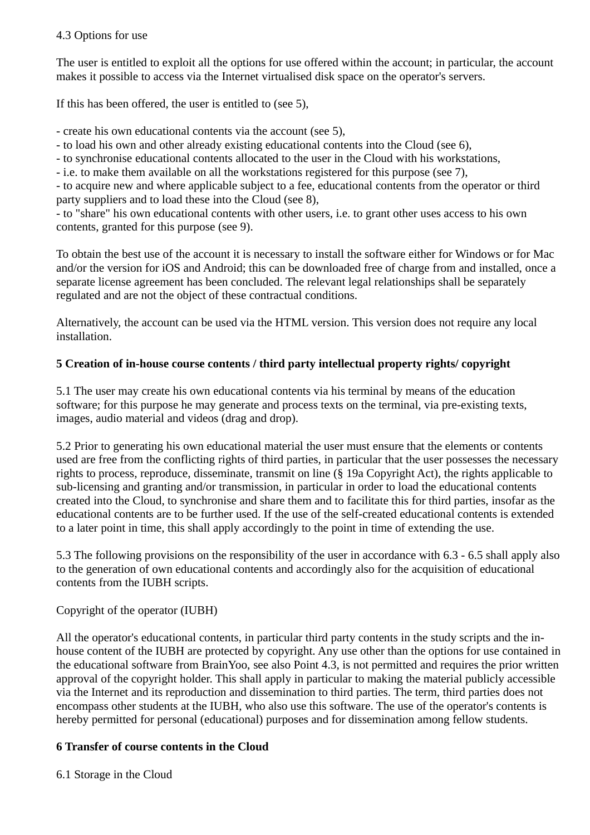### 4.3 Options for use

The user is entitled to exploit all the options for use offered within the account; in particular, the account makes it possible to access via the Internet virtualised disk space on the operator's servers.

If this has been offered, the user is entitled to (see 5),

- create his own educational contents via the account (see 5),

- to load his own and other already existing educational contents into the Cloud (see 6),

- to synchronise educational contents allocated to the user in the Cloud with his workstations,

- i.e. to make them available on all the workstations registered for this purpose (see 7),

- to acquire new and where applicable subject to a fee, educational contents from the operator or third party suppliers and to load these into the Cloud (see 8),

- to "share" his own educational contents with other users, i.e. to grant other uses access to his own contents, granted for this purpose (see 9).

To obtain the best use of the account it is necessary to install the software either for Windows or for Mac and/or the version for iOS and Android; this can be downloaded free of charge from and installed, once a separate license agreement has been concluded. The relevant legal relationships shall be separately regulated and are not the object of these contractual conditions.

Alternatively, the account can be used via the HTML version. This version does not require any local installation.

# **5 Creation of in-house course contents / third party intellectual property rights/ copyright**

5.1 The user may create his own educational contents via his terminal by means of the education software; for this purpose he may generate and process texts on the terminal, via pre-existing texts, images, audio material and videos (drag and drop).

5.2 Prior to generating his own educational material the user must ensure that the elements or contents used are free from the conflicting rights of third parties, in particular that the user possesses the necessary rights to process, reproduce, disseminate, transmit on line (§ 19a Copyright Act), the rights applicable to sub-licensing and granting and/or transmission, in particular in order to load the educational contents created into the Cloud, to synchronise and share them and to facilitate this for third parties, insofar as the educational contents are to be further used. If the use of the self-created educational contents is extended to a later point in time, this shall apply accordingly to the point in time of extending the use.

5.3 The following provisions on the responsibility of the user in accordance with 6.3 - 6.5 shall apply also to the generation of own educational contents and accordingly also for the acquisition of educational contents from the IUBH scripts.

Copyright of the operator (IUBH)

All the operator's educational contents, in particular third party contents in the study scripts and the inhouse content of the IUBH are protected by copyright. Any use other than the options for use contained in the educational software from BrainYoo, see also Point 4.3, is not permitted and requires the prior written approval of the copyright holder. This shall apply in particular to making the material publicly accessible via the Internet and its reproduction and dissemination to third parties. The term, third parties does not encompass other students at the IUBH, who also use this software. The use of the operator's contents is hereby permitted for personal (educational) purposes and for dissemination among fellow students.

# **6 Transfer of course contents in the Cloud**

6.1 Storage in the Cloud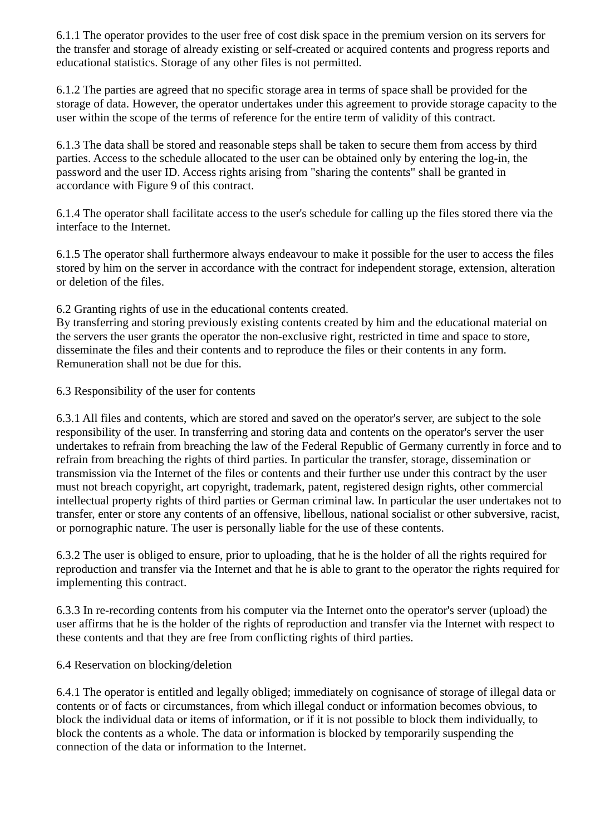6.1.1 The operator provides to the user free of cost disk space in the premium version on its servers for the transfer and storage of already existing or self-created or acquired contents and progress reports and educational statistics. Storage of any other files is not permitted.

6.1.2 The parties are agreed that no specific storage area in terms of space shall be provided for the storage of data. However, the operator undertakes under this agreement to provide storage capacity to the user within the scope of the terms of reference for the entire term of validity of this contract.

6.1.3 The data shall be stored and reasonable steps shall be taken to secure them from access by third parties. Access to the schedule allocated to the user can be obtained only by entering the log-in, the password and the user ID. Access rights arising from "sharing the contents" shall be granted in accordance with Figure 9 of this contract.

6.1.4 The operator shall facilitate access to the user's schedule for calling up the files stored there via the interface to the Internet.

6.1.5 The operator shall furthermore always endeavour to make it possible for the user to access the files stored by him on the server in accordance with the contract for independent storage, extension, alteration or deletion of the files.

6.2 Granting rights of use in the educational contents created.

By transferring and storing previously existing contents created by him and the educational material on the servers the user grants the operator the non-exclusive right, restricted in time and space to store, disseminate the files and their contents and to reproduce the files or their contents in any form. Remuneration shall not be due for this.

6.3 Responsibility of the user for contents

6.3.1 All files and contents, which are stored and saved on the operator's server, are subject to the sole responsibility of the user. In transferring and storing data and contents on the operator's server the user undertakes to refrain from breaching the law of the Federal Republic of Germany currently in force and to refrain from breaching the rights of third parties. In particular the transfer, storage, dissemination or transmission via the Internet of the files or contents and their further use under this contract by the user must not breach copyright, art copyright, trademark, patent, registered design rights, other commercial intellectual property rights of third parties or German criminal law. In particular the user undertakes not to transfer, enter or store any contents of an offensive, libellous, national socialist or other subversive, racist, or pornographic nature. The user is personally liable for the use of these contents.

6.3.2 The user is obliged to ensure, prior to uploading, that he is the holder of all the rights required for reproduction and transfer via the Internet and that he is able to grant to the operator the rights required for implementing this contract.

6.3.3 In re-recording contents from his computer via the Internet onto the operator's server (upload) the user affirms that he is the holder of the rights of reproduction and transfer via the Internet with respect to these contents and that they are free from conflicting rights of third parties.

6.4 Reservation on blocking/deletion

6.4.1 The operator is entitled and legally obliged; immediately on cognisance of storage of illegal data or contents or of facts or circumstances, from which illegal conduct or information becomes obvious, to block the individual data or items of information, or if it is not possible to block them individually, to block the contents as a whole. The data or information is blocked by temporarily suspending the connection of the data or information to the Internet.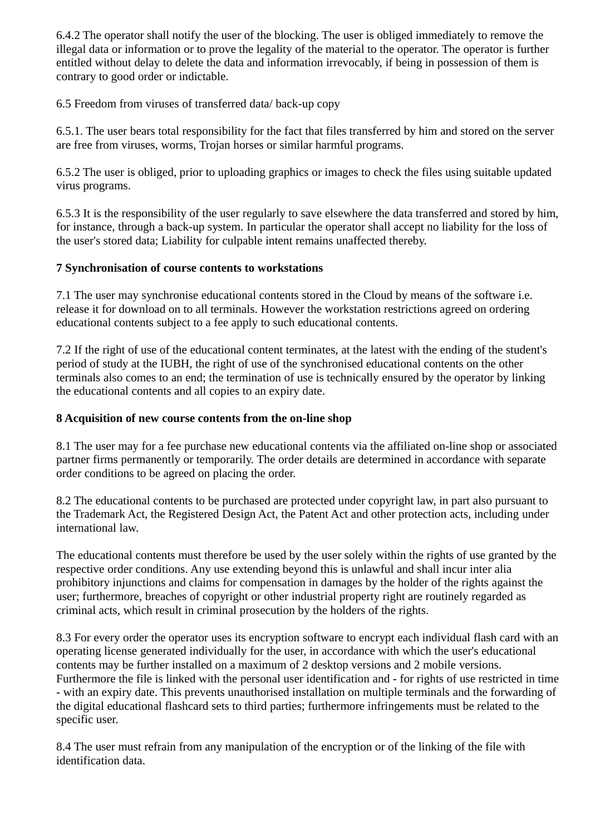6.4.2 The operator shall notify the user of the blocking. The user is obliged immediately to remove the illegal data or information or to prove the legality of the material to the operator. The operator is further entitled without delay to delete the data and information irrevocably, if being in possession of them is contrary to good order or indictable.

6.5 Freedom from viruses of transferred data/ back-up copy

6.5.1. The user bears total responsibility for the fact that files transferred by him and stored on the server are free from viruses, worms, Trojan horses or similar harmful programs.

6.5.2 The user is obliged, prior to uploading graphics or images to check the files using suitable updated virus programs.

6.5.3 It is the responsibility of the user regularly to save elsewhere the data transferred and stored by him, for instance, through a back-up system. In particular the operator shall accept no liability for the loss of the user's stored data; Liability for culpable intent remains unaffected thereby.

### **7 Synchronisation of course contents to workstations**

7.1 The user may synchronise educational contents stored in the Cloud by means of the software i.e. release it for download on to all terminals. However the workstation restrictions agreed on ordering educational contents subject to a fee apply to such educational contents.

7.2 If the right of use of the educational content terminates, at the latest with the ending of the student's period of study at the IUBH, the right of use of the synchronised educational contents on the other terminals also comes to an end; the termination of use is technically ensured by the operator by linking the educational contents and all copies to an expiry date.

#### **8 Acquisition of new course contents from the on-line shop**

8.1 The user may for a fee purchase new educational contents via the affiliated on-line shop or associated partner firms permanently or temporarily. The order details are determined in accordance with separate order conditions to be agreed on placing the order.

8.2 The educational contents to be purchased are protected under copyright law, in part also pursuant to the Trademark Act, the Registered Design Act, the Patent Act and other protection acts, including under international law.

The educational contents must therefore be used by the user solely within the rights of use granted by the respective order conditions. Any use extending beyond this is unlawful and shall incur inter alia prohibitory injunctions and claims for compensation in damages by the holder of the rights against the user; furthermore, breaches of copyright or other industrial property right are routinely regarded as criminal acts, which result in criminal prosecution by the holders of the rights.

8.3 For every order the operator uses its encryption software to encrypt each individual flash card with an operating license generated individually for the user, in accordance with which the user's educational contents may be further installed on a maximum of 2 desktop versions and 2 mobile versions. Furthermore the file is linked with the personal user identification and - for rights of use restricted in time - with an expiry date. This prevents unauthorised installation on multiple terminals and the forwarding of the digital educational flashcard sets to third parties; furthermore infringements must be related to the specific user.

8.4 The user must refrain from any manipulation of the encryption or of the linking of the file with identification data.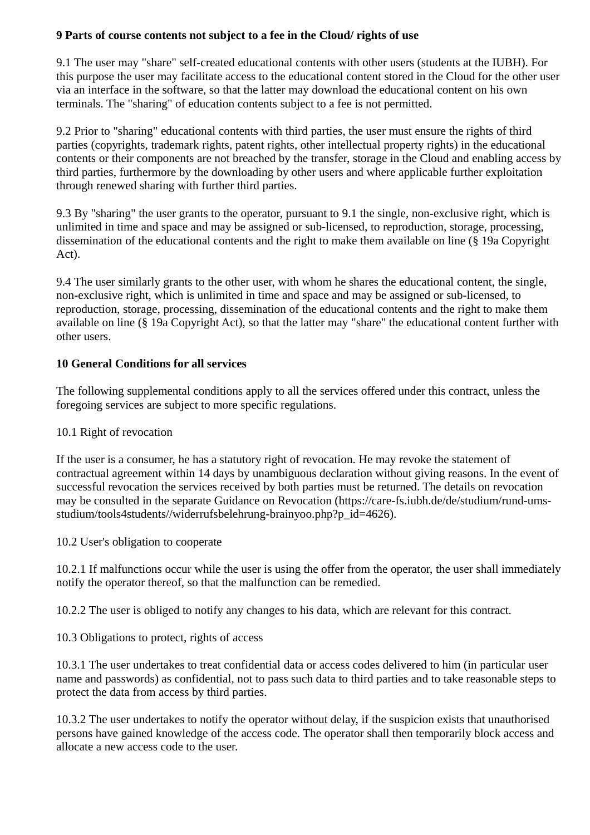### **9 Parts of course contents not subject to a fee in the Cloud/ rights of use**

9.1 The user may "share" self-created educational contents with other users (students at the IUBH). For this purpose the user may facilitate access to the educational content stored in the Cloud for the other user via an interface in the software, so that the latter may download the educational content on his own terminals. The "sharing" of education contents subject to a fee is not permitted.

9.2 Prior to "sharing" educational contents with third parties, the user must ensure the rights of third parties (copyrights, trademark rights, patent rights, other intellectual property rights) in the educational contents or their components are not breached by the transfer, storage in the Cloud and enabling access by third parties, furthermore by the downloading by other users and where applicable further exploitation through renewed sharing with further third parties.

9.3 By "sharing" the user grants to the operator, pursuant to 9.1 the single, non-exclusive right, which is unlimited in time and space and may be assigned or sub-licensed, to reproduction, storage, processing, dissemination of the educational contents and the right to make them available on line (§ 19a Copyright Act).

9.4 The user similarly grants to the other user, with whom he shares the educational content, the single, non-exclusive right, which is unlimited in time and space and may be assigned or sub-licensed, to reproduction, storage, processing, dissemination of the educational contents and the right to make them available on line (§ 19a Copyright Act), so that the latter may "share" the educational content further with other users.

## **10 General Conditions for all services**

The following supplemental conditions apply to all the services offered under this contract, unless the foregoing services are subject to more specific regulations.

## 10.1 Right of revocation

If the user is a consumer, he has a statutory right of revocation. He may revoke the statement of contractual agreement within 14 days by unambiguous declaration without giving reasons. In the event of successful revocation the services received by both parties must be returned. The details on revocation may be consulted in the separate Guidance on Revocation (https://care-fs.iubh.de/de/studium/rund-umsstudium/tools4students//widerrufsbelehrung-brainyoo.php?p\_id=4626).

10.2 User's obligation to cooperate

10.2.1 If malfunctions occur while the user is using the offer from the operator, the user shall immediately notify the operator thereof, so that the malfunction can be remedied.

10.2.2 The user is obliged to notify any changes to his data, which are relevant for this contract.

10.3 Obligations to protect, rights of access

10.3.1 The user undertakes to treat confidential data or access codes delivered to him (in particular user name and passwords) as confidential, not to pass such data to third parties and to take reasonable steps to protect the data from access by third parties.

10.3.2 The user undertakes to notify the operator without delay, if the suspicion exists that unauthorised persons have gained knowledge of the access code. The operator shall then temporarily block access and allocate a new access code to the user.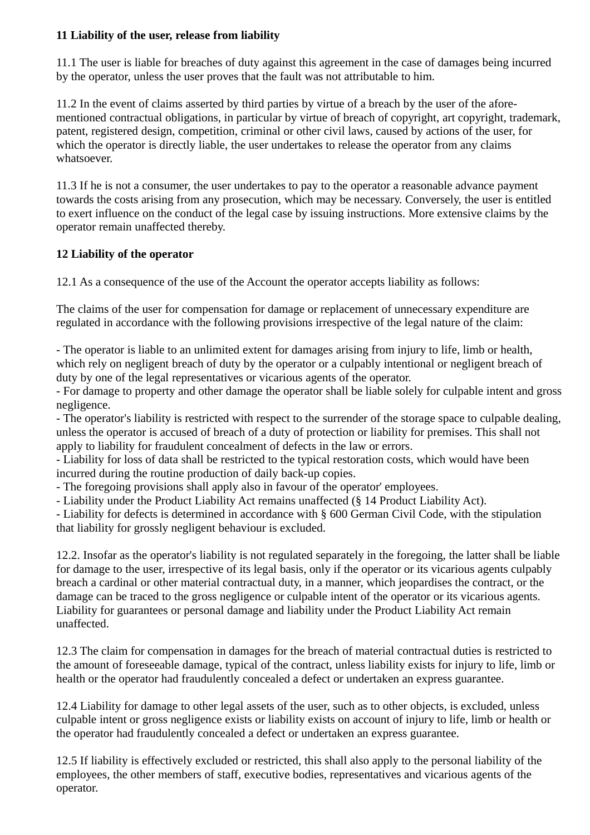### **11 Liability of the user, release from liability**

11.1 The user is liable for breaches of duty against this agreement in the case of damages being incurred by the operator, unless the user proves that the fault was not attributable to him.

11.2 In the event of claims asserted by third parties by virtue of a breach by the user of the aforementioned contractual obligations, in particular by virtue of breach of copyright, art copyright, trademark, patent, registered design, competition, criminal or other civil laws, caused by actions of the user, for which the operator is directly liable, the user undertakes to release the operator from any claims whatsoever.

11.3 If he is not a consumer, the user undertakes to pay to the operator a reasonable advance payment towards the costs arising from any prosecution, which may be necessary. Conversely, the user is entitled to exert influence on the conduct of the legal case by issuing instructions. More extensive claims by the operator remain unaffected thereby.

## **12 Liability of the operator**

12.1 As a consequence of the use of the Account the operator accepts liability as follows:

The claims of the user for compensation for damage or replacement of unnecessary expenditure are regulated in accordance with the following provisions irrespective of the legal nature of the claim:

- The operator is liable to an unlimited extent for damages arising from injury to life, limb or health, which rely on negligent breach of duty by the operator or a culpably intentional or negligent breach of duty by one of the legal representatives or vicarious agents of the operator.

- For damage to property and other damage the operator shall be liable solely for culpable intent and gross negligence.

- The operator's liability is restricted with respect to the surrender of the storage space to culpable dealing, unless the operator is accused of breach of a duty of protection or liability for premises. This shall not apply to liability for fraudulent concealment of defects in the law or errors.

- Liability for loss of data shall be restricted to the typical restoration costs, which would have been incurred during the routine production of daily back-up copies.

- The foregoing provisions shall apply also in favour of the operator' employees.

- Liability under the Product Liability Act remains unaffected (§ 14 Product Liability Act).

- Liability for defects is determined in accordance with § 600 German Civil Code, with the stipulation that liability for grossly negligent behaviour is excluded.

12.2. Insofar as the operator's liability is not regulated separately in the foregoing, the latter shall be liable for damage to the user, irrespective of its legal basis, only if the operator or its vicarious agents culpably breach a cardinal or other material contractual duty, in a manner, which jeopardises the contract, or the damage can be traced to the gross negligence or culpable intent of the operator or its vicarious agents. Liability for guarantees or personal damage and liability under the Product Liability Act remain unaffected.

12.3 The claim for compensation in damages for the breach of material contractual duties is restricted to the amount of foreseeable damage, typical of the contract, unless liability exists for injury to life, limb or health or the operator had fraudulently concealed a defect or undertaken an express guarantee.

12.4 Liability for damage to other legal assets of the user, such as to other objects, is excluded, unless culpable intent or gross negligence exists or liability exists on account of injury to life, limb or health or the operator had fraudulently concealed a defect or undertaken an express guarantee.

12.5 If liability is effectively excluded or restricted, this shall also apply to the personal liability of the employees, the other members of staff, executive bodies, representatives and vicarious agents of the operator.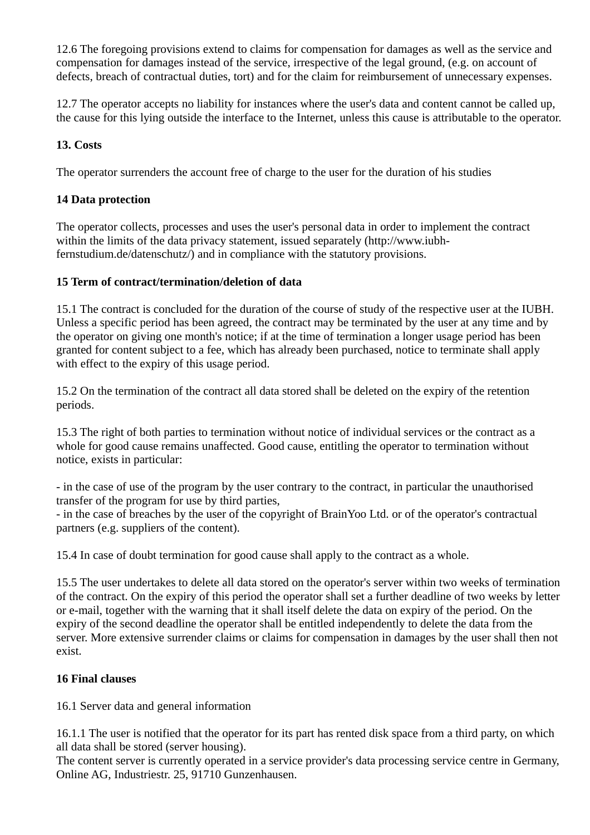12.6 The foregoing provisions extend to claims for compensation for damages as well as the service and compensation for damages instead of the service, irrespective of the legal ground, (e.g. on account of defects, breach of contractual duties, tort) and for the claim for reimbursement of unnecessary expenses.

12.7 The operator accepts no liability for instances where the user's data and content cannot be called up, the cause for this lying outside the interface to the Internet, unless this cause is attributable to the operator.

### **13. Costs**

The operator surrenders the account free of charge to the user for the duration of his studies

### **14 Data protection**

The operator collects, processes and uses the user's personal data in order to implement the contract within the limits of the data privacy statement, issued separately (http://www.iubhfernstudium.de/datenschutz/) and in compliance with the statutory provisions.

### **15 Term of contract/termination/deletion of data**

15.1 The contract is concluded for the duration of the course of study of the respective user at the IUBH. Unless a specific period has been agreed, the contract may be terminated by the user at any time and by the operator on giving one month's notice; if at the time of termination a longer usage period has been granted for content subject to a fee, which has already been purchased, notice to terminate shall apply with effect to the expiry of this usage period.

15.2 On the termination of the contract all data stored shall be deleted on the expiry of the retention periods.

15.3 The right of both parties to termination without notice of individual services or the contract as a whole for good cause remains unaffected. Good cause, entitling the operator to termination without notice, exists in particular:

- in the case of use of the program by the user contrary to the contract, in particular the unauthorised transfer of the program for use by third parties,

- in the case of breaches by the user of the copyright of BrainYoo Ltd. or of the operator's contractual partners (e.g. suppliers of the content).

15.4 In case of doubt termination for good cause shall apply to the contract as a whole.

15.5 The user undertakes to delete all data stored on the operator's server within two weeks of termination of the contract. On the expiry of this period the operator shall set a further deadline of two weeks by letter or e-mail, together with the warning that it shall itself delete the data on expiry of the period. On the expiry of the second deadline the operator shall be entitled independently to delete the data from the server. More extensive surrender claims or claims for compensation in damages by the user shall then not exist.

### **16 Final clauses**

16.1 Server data and general information

16.1.1 The user is notified that the operator for its part has rented disk space from a third party, on which all data shall be stored (server housing).

The content server is currently operated in a service provider's data processing service centre in Germany, Online AG, Industriestr. 25, 91710 Gunzenhausen.